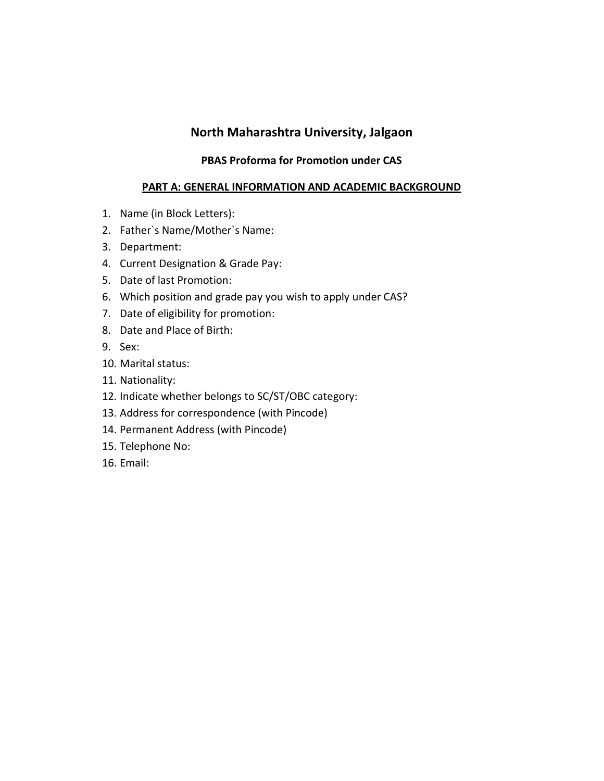# **North Maharashtra University, Jalgaon**

#### **PBAS Proforma for Promotion under CAS**

#### **PART A: GENERAL INFORMATION AND ACADEMIC BACKGROUND**

- 1. Name (in Block Letters):
- 2. Father`s Name/Mother`s Name:
- 3. Department:
- 4. Current Designation & Grade Pay:
- 5. Date of last Promotion:
- 6. Which position and grade pay you wish to apply under CAS?
- 7. Date of eligibility for promotion:
- 8. Date and Place of Birth:
- 9. Sex:
- 10. Marital status:
- 11. Nationality:
- 12. Indicate whether belongs to SC/ST/OBC category:
- 13. Address for correspondence (with Pincode)
- 14. Permanent Address (with Pincode)
- 15. Telephone No:
- 16. Email: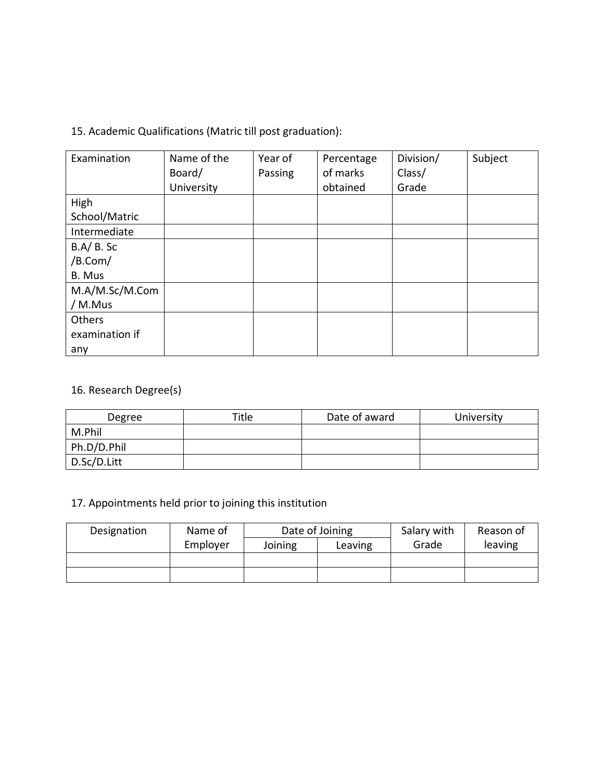15. Academic Qualifications (Matric till post graduation):

| Examination    | Name of the | Year of | Percentage | Division/ | Subject |
|----------------|-------------|---------|------------|-----------|---------|
|                | Board/      | Passing | of marks   | Class/    |         |
|                | University  |         | obtained   | Grade     |         |
| High           |             |         |            |           |         |
| School/Matric  |             |         |            |           |         |
| Intermediate   |             |         |            |           |         |
| $B.A/B.$ Sc    |             |         |            |           |         |
| /B.Com/        |             |         |            |           |         |
| B. Mus         |             |         |            |           |         |
| M.A/M.Sc/M.Com |             |         |            |           |         |
| / M.Mus        |             |         |            |           |         |
| Others         |             |         |            |           |         |
| examination if |             |         |            |           |         |
| any            |             |         |            |           |         |

# 16. Research Degree(s)

| Degree      | Title | Date of award | University |
|-------------|-------|---------------|------------|
| M.Phil      |       |               |            |
| Ph.D/D.Phil |       |               |            |
| D.Sc/D.Litt |       |               |            |

# 17. Appointments held prior to joining this institution

| Designation | Name of  | Date of Joining |         | Salary with | Reason of |
|-------------|----------|-----------------|---------|-------------|-----------|
|             | Employer | Joining         | Leaving | Grade       | leaving   |
|             |          |                 |         |             |           |
|             |          |                 |         |             |           |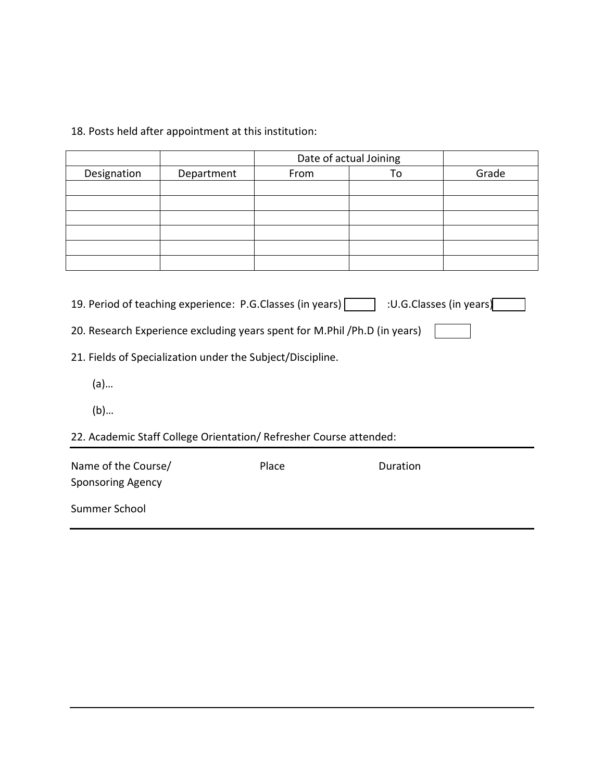# 18. Posts held after appointment at this institution:

|             |            | Date of actual Joining |    |       |
|-------------|------------|------------------------|----|-------|
| Designation | Department | From                   | To | Grade |
|             |            |                        |    |       |
|             |            |                        |    |       |
|             |            |                        |    |       |
|             |            |                        |    |       |
|             |            |                        |    |       |
|             |            |                        |    |       |

| 19. Period of teaching experience: P.G.Classes (in years) | :U.G.Classes (in years) |  |
|-----------------------------------------------------------|-------------------------|--|
|-----------------------------------------------------------|-------------------------|--|

- 21. Fields of Specialization under the Subject/Discipline.
	- (a)…
	- (b)…
- 22. Academic Staff College Orientation/ Refresher Course attended:

| Name of the Course/<br><b>Sponsoring Agency</b> | Place | Duration |
|-------------------------------------------------|-------|----------|
| Summer School                                   |       |          |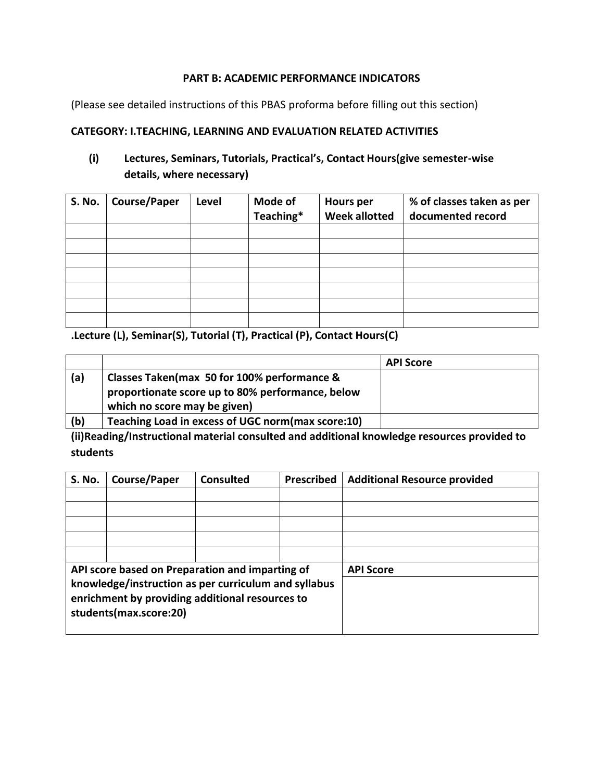#### **PART B: ACADEMIC PERFORMANCE INDICATORS**

(Please see detailed instructions of this PBAS proforma before filling out this section)

#### **CATEGORY: I.TEACHING, LEARNING AND EVALUATION RELATED ACTIVITIES**

#### **(i) Lectures, Seminars, Tutorials, Practical's, Contact Hours(give semester-wise details, where necessary)**

| S. No. | <b>Course/Paper</b> | Level | Mode of<br>Teaching* | <b>Hours per</b><br><b>Week allotted</b> | % of classes taken as per<br>documented record |
|--------|---------------------|-------|----------------------|------------------------------------------|------------------------------------------------|
|        |                     |       |                      |                                          |                                                |
|        |                     |       |                      |                                          |                                                |
|        |                     |       |                      |                                          |                                                |
|        |                     |       |                      |                                          |                                                |
|        |                     |       |                      |                                          |                                                |
|        |                     |       |                      |                                          |                                                |
|        |                     |       |                      |                                          |                                                |

**.Lecture (L), Seminar(S), Tutorial (T), Practical (P), Contact Hours(C)**

|     |                                                                                                                                 | <b>API Score</b> |
|-----|---------------------------------------------------------------------------------------------------------------------------------|------------------|
| (a) | Classes Taken(max 50 for 100% performance &<br>proportionate score up to 80% performance, below<br>which no score may be given) |                  |
| (b) | Teaching Load in excess of UGC norm(max score:10)                                                                               |                  |

**(ii)Reading/Instructional material consulted and additional knowledge resources provided to students**

| <b>S. No.</b>                                                                                                                     | <b>Course/Paper</b>                             | <b>Consulted</b> | <b>Prescribed</b> | <b>Additional Resource provided</b> |
|-----------------------------------------------------------------------------------------------------------------------------------|-------------------------------------------------|------------------|-------------------|-------------------------------------|
|                                                                                                                                   |                                                 |                  |                   |                                     |
|                                                                                                                                   |                                                 |                  |                   |                                     |
|                                                                                                                                   |                                                 |                  |                   |                                     |
|                                                                                                                                   |                                                 |                  |                   |                                     |
|                                                                                                                                   |                                                 |                  |                   |                                     |
|                                                                                                                                   | API score based on Preparation and imparting of |                  |                   | <b>API Score</b>                    |
| knowledge/instruction as per curriculum and syllabus<br>enrichment by providing additional resources to<br>students(max.score:20) |                                                 |                  |                   |                                     |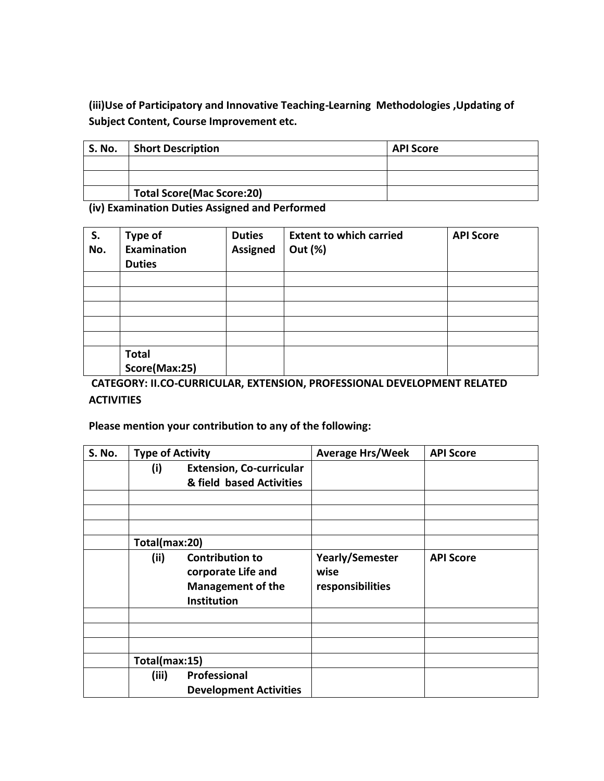**(iii)Use of Participatory and Innovative Teaching-Learning Methodologies ,Updating of Subject Content, Course Improvement etc.**

| <b>S. No.</b> | <b>Short Description</b>         | <b>API Score</b> |
|---------------|----------------------------------|------------------|
|               |                                  |                  |
|               |                                  |                  |
|               | <b>Total Score(Mac Score:20)</b> |                  |

**(iv) Examination Duties Assigned and Performed**

| S.<br>No. | <b>Type of</b><br>Examination<br><b>Duties</b> | <b>Duties</b><br><b>Assigned</b> | <b>Extent to which carried</b><br>Out (%) | <b>API Score</b> |
|-----------|------------------------------------------------|----------------------------------|-------------------------------------------|------------------|
|           |                                                |                                  |                                           |                  |
|           |                                                |                                  |                                           |                  |
|           |                                                |                                  |                                           |                  |
|           |                                                |                                  |                                           |                  |
|           |                                                |                                  |                                           |                  |
|           | <b>Total</b><br>Score(Max:25)                  |                                  |                                           |                  |

**CATEGORY: II.CO-CURRICULAR, EXTENSION, PROFESSIONAL DEVELOPMENT RELATED ACTIVITIES**

#### **Please mention your contribution to any of the following:**

| <b>S. No.</b> | <b>Type of Activity</b> |                                                                                                | <b>Average Hrs/Week</b>                            | <b>API Score</b> |
|---------------|-------------------------|------------------------------------------------------------------------------------------------|----------------------------------------------------|------------------|
|               | (i)                     | <b>Extension, Co-curricular</b>                                                                |                                                    |                  |
|               |                         | & field based Activities                                                                       |                                                    |                  |
|               |                         |                                                                                                |                                                    |                  |
|               |                         |                                                                                                |                                                    |                  |
|               |                         |                                                                                                |                                                    |                  |
|               | Total(max:20)           |                                                                                                |                                                    |                  |
|               | (ii)                    | <b>Contribution to</b><br>corporate Life and<br><b>Management of the</b><br><b>Institution</b> | <b>Yearly/Semester</b><br>wise<br>responsibilities | <b>API Score</b> |
|               |                         |                                                                                                |                                                    |                  |
|               |                         |                                                                                                |                                                    |                  |
|               |                         |                                                                                                |                                                    |                  |
|               | Total(max:15)           |                                                                                                |                                                    |                  |
|               | (iii)                   | Professional                                                                                   |                                                    |                  |
|               |                         | <b>Development Activities</b>                                                                  |                                                    |                  |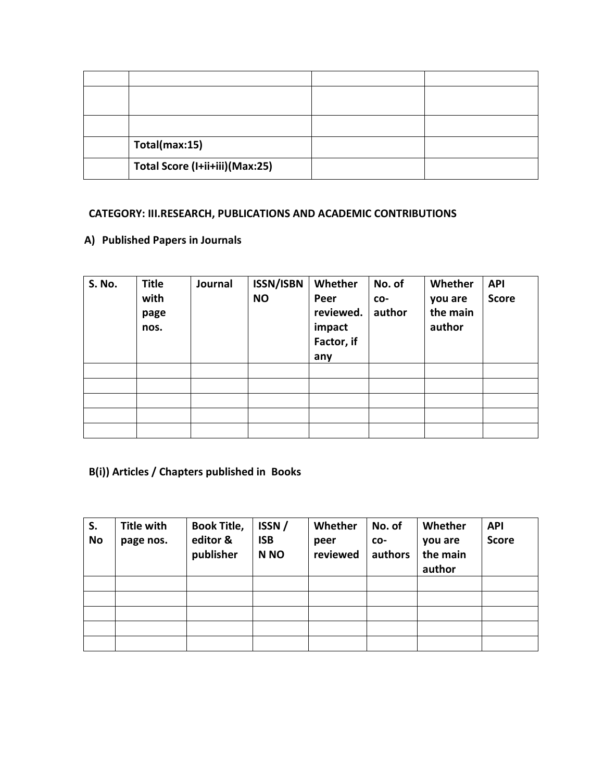| Total(max:15)                  |  |
|--------------------------------|--|
| Total Score (I+ii+iii)(Max:25) |  |

# **CATEGORY: III.RESEARCH, PUBLICATIONS AND ACADEMIC CONTRIBUTIONS**

## **A) Published Papers in Journals**

| S. No. | <b>Title</b><br>with<br>page<br>nos. | Journal | <b>ISSN/ISBN</b><br><b>NO</b> | Whether<br>Peer<br>reviewed.<br>impact<br>Factor, if<br>any | No. of<br>CO-<br>author | Whether<br>you are<br>the main<br>author | <b>API</b><br><b>Score</b> |
|--------|--------------------------------------|---------|-------------------------------|-------------------------------------------------------------|-------------------------|------------------------------------------|----------------------------|
|        |                                      |         |                               |                                                             |                         |                                          |                            |
|        |                                      |         |                               |                                                             |                         |                                          |                            |
|        |                                      |         |                               |                                                             |                         |                                          |                            |
|        |                                      |         |                               |                                                             |                         |                                          |                            |
|        |                                      |         |                               |                                                             |                         |                                          |                            |

# **B(i)) Articles / Chapters published in Books**

| S.<br><b>No</b> | <b>Title with</b><br>page nos. | <b>Book Title,</b><br>editor &<br>publisher | ISSN/<br><b>ISB</b><br>N <sub>NO</sub> | Whether<br>peer<br>reviewed | No. of<br>CO-<br>authors | Whether<br>you are<br>the main<br>author | <b>API</b><br><b>Score</b> |
|-----------------|--------------------------------|---------------------------------------------|----------------------------------------|-----------------------------|--------------------------|------------------------------------------|----------------------------|
|                 |                                |                                             |                                        |                             |                          |                                          |                            |
|                 |                                |                                             |                                        |                             |                          |                                          |                            |
|                 |                                |                                             |                                        |                             |                          |                                          |                            |
|                 |                                |                                             |                                        |                             |                          |                                          |                            |
|                 |                                |                                             |                                        |                             |                          |                                          |                            |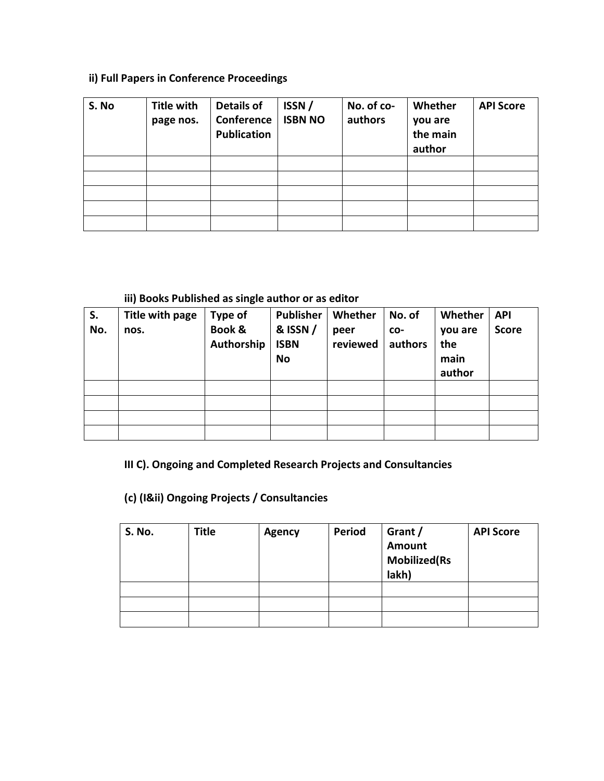# **ii) Full Papers in Conference Proceedings**

| S. No | <b>Title with</b><br>page nos. | <b>Details of</b><br>Conference<br><b>Publication</b> | ISSN/<br><b>ISBN NO</b> | No. of co-<br>authors | Whether<br>you are<br>the main<br>author | <b>API Score</b> |
|-------|--------------------------------|-------------------------------------------------------|-------------------------|-----------------------|------------------------------------------|------------------|
|       |                                |                                                       |                         |                       |                                          |                  |
|       |                                |                                                       |                         |                       |                                          |                  |
|       |                                |                                                       |                         |                       |                                          |                  |
|       |                                |                                                       |                         |                       |                                          |                  |
|       |                                |                                                       |                         |                       |                                          |                  |

#### **iii) Books Published as single author or as editor**

| S.<br>No. | Title with page<br>nos. | <b>Type of</b><br>Book &<br>Authorship | <b>Publisher</b><br>& ISSN /<br><b>ISBN</b><br><b>No</b> | Whether<br>peer<br>reviewed | No. of<br>CO-<br>authors | Whether<br>you are<br>the<br>main<br>author | <b>API</b><br><b>Score</b> |
|-----------|-------------------------|----------------------------------------|----------------------------------------------------------|-----------------------------|--------------------------|---------------------------------------------|----------------------------|
|           |                         |                                        |                                                          |                             |                          |                                             |                            |
|           |                         |                                        |                                                          |                             |                          |                                             |                            |
|           |                         |                                        |                                                          |                             |                          |                                             |                            |
|           |                         |                                        |                                                          |                             |                          |                                             |                            |

# **III C). Ongoing and Completed Research Projects and Consultancies**

# **(c) (I&ii) Ongoing Projects / Consultancies**

| <b>S. No.</b> | <b>Title</b> | <b>Agency</b> | <b>Period</b> | Grant /<br>Amount<br><b>Mobilized</b> (Rs<br>lakh) | <b>API Score</b> |
|---------------|--------------|---------------|---------------|----------------------------------------------------|------------------|
|               |              |               |               |                                                    |                  |
|               |              |               |               |                                                    |                  |
|               |              |               |               |                                                    |                  |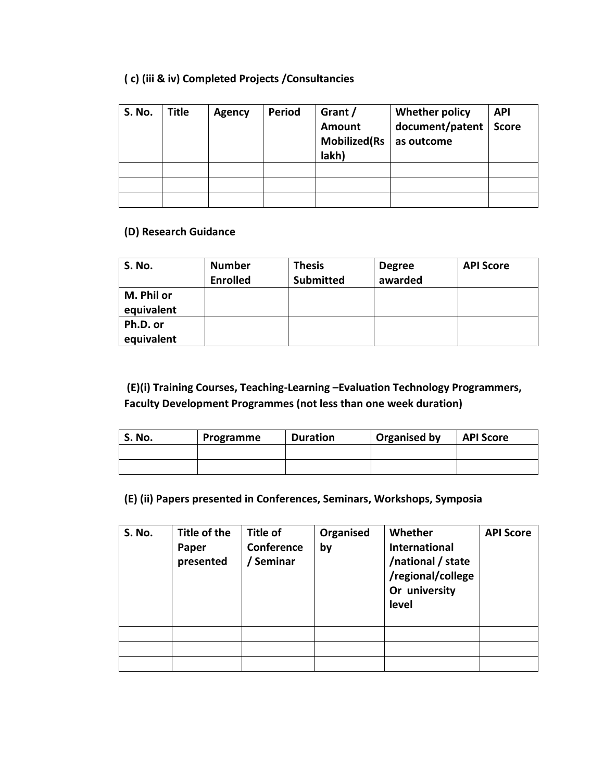# **( c) (iii & iv) Completed Projects /Consultancies**

| <b>S. No.</b> | <b>Title</b> | <b>Agency</b> | <b>Period</b> | Grant /<br>Amount<br><b>Mobilized</b> (Rs<br>lakh) | Whether policy<br>document/patent<br>as outcome | <b>API</b><br><b>Score</b> |
|---------------|--------------|---------------|---------------|----------------------------------------------------|-------------------------------------------------|----------------------------|
|               |              |               |               |                                                    |                                                 |                            |
|               |              |               |               |                                                    |                                                 |                            |
|               |              |               |               |                                                    |                                                 |                            |

#### **(D) Research Guidance**

| <b>S. No.</b>            | <b>Number</b><br><b>Enrolled</b> | <b>Thesis</b><br><b>Submitted</b> | <b>Degree</b><br>awarded | <b>API Score</b> |
|--------------------------|----------------------------------|-----------------------------------|--------------------------|------------------|
| M. Phil or<br>equivalent |                                  |                                   |                          |                  |
| Ph.D. or<br>equivalent   |                                  |                                   |                          |                  |

# **(E)(i) Training Courses, Teaching-Learning –Evaluation Technology Programmers, Faculty Development Programmes (not less than one week duration)**

| S. No. | Programme | <b>Duration</b> | Organised by | <b>API Score</b> |
|--------|-----------|-----------------|--------------|------------------|
|        |           |                 |              |                  |
|        |           |                 |              |                  |

#### **(E) (ii) Papers presented in Conferences, Seminars, Workshops, Symposia**

| S. No. | Title of the<br>Paper<br>presented | Title of<br>Conference<br>/ Seminar | Organised<br>by | Whether<br><b>International</b><br>/national / state<br>/regional/college<br>Or university<br>level | <b>API Score</b> |
|--------|------------------------------------|-------------------------------------|-----------------|-----------------------------------------------------------------------------------------------------|------------------|
|        |                                    |                                     |                 |                                                                                                     |                  |
|        |                                    |                                     |                 |                                                                                                     |                  |
|        |                                    |                                     |                 |                                                                                                     |                  |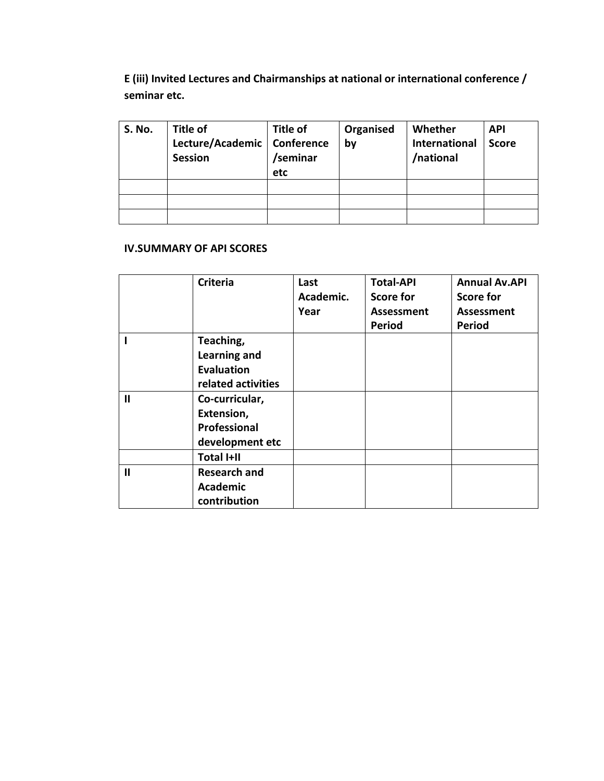**E (iii) Invited Lectures and Chairmanships at national or international conference / seminar etc.**

| <b>S. No.</b> | <b>Title of</b>               | Title of | Organised | Whether              | <b>API</b>   |
|---------------|-------------------------------|----------|-----------|----------------------|--------------|
|               | Lecture/Academic   Conference |          | by        | <b>International</b> | <b>Score</b> |
|               | <b>Session</b>                | /seminar |           | /national            |              |
|               |                               | etc      |           |                      |              |
|               |                               |          |           |                      |              |
|               |                               |          |           |                      |              |
|               |                               |          |           |                      |              |

#### **IV.SUMMARY OF API SCORES**

|              | <b>Criteria</b>     | Last<br>Academic.<br>Year | <b>Total-API</b><br><b>Score for</b><br>Assessment<br><b>Period</b> | <b>Annual Av.API</b><br>Score for<br><b>Assessment</b><br><b>Period</b> |
|--------------|---------------------|---------------------------|---------------------------------------------------------------------|-------------------------------------------------------------------------|
|              | Teaching,           |                           |                                                                     |                                                                         |
|              | <b>Learning and</b> |                           |                                                                     |                                                                         |
|              | <b>Evaluation</b>   |                           |                                                                     |                                                                         |
|              | related activities  |                           |                                                                     |                                                                         |
| $\mathbf{I}$ | Co-curricular,      |                           |                                                                     |                                                                         |
|              | Extension,          |                           |                                                                     |                                                                         |
|              | Professional        |                           |                                                                     |                                                                         |
|              | development etc     |                           |                                                                     |                                                                         |
|              | <b>Total I+II</b>   |                           |                                                                     |                                                                         |
| $\mathbf{I}$ | <b>Research and</b> |                           |                                                                     |                                                                         |
|              | <b>Academic</b>     |                           |                                                                     |                                                                         |
|              | contribution        |                           |                                                                     |                                                                         |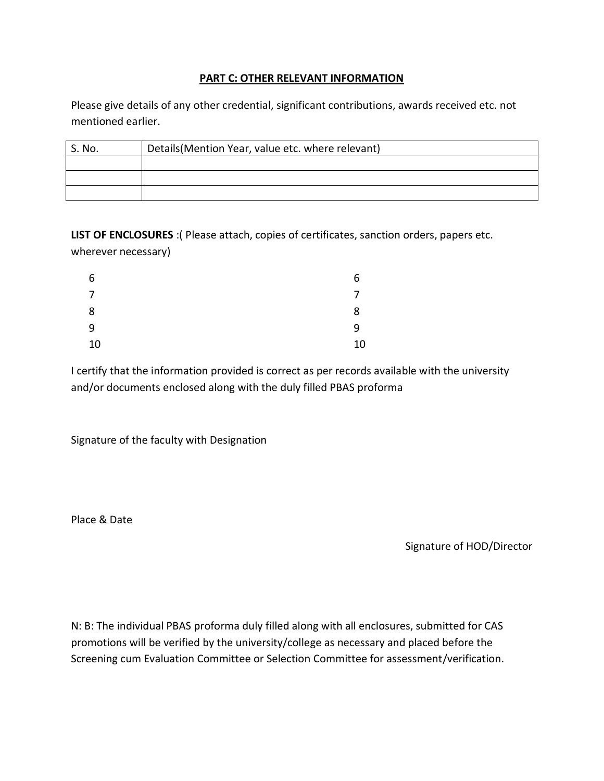#### **PART C: OTHER RELEVANT INFORMATION**

Please give details of any other credential, significant contributions, awards received etc. not mentioned earlier.

| S. No. | Details (Mention Year, value etc. where relevant) |  |  |
|--------|---------------------------------------------------|--|--|
|        |                                                   |  |  |
|        |                                                   |  |  |
|        |                                                   |  |  |

**LIST OF ENCLOSURES** :( Please attach, copies of certificates, sanction orders, papers etc. wherever necessary)

| 6  | 6  |
|----|----|
| 7  | 7  |
| 8  | 8  |
| 9  | 9  |
| 10 | 10 |

I certify that the information provided is correct as per records available with the university and/or documents enclosed along with the duly filled PBAS proforma

Signature of the faculty with Designation

Place & Date

Signature of HOD/Director

N: B: The individual PBAS proforma duly filled along with all enclosures, submitted for CAS promotions will be verified by the university/college as necessary and placed before the Screening cum Evaluation Committee or Selection Committee for assessment/verification.